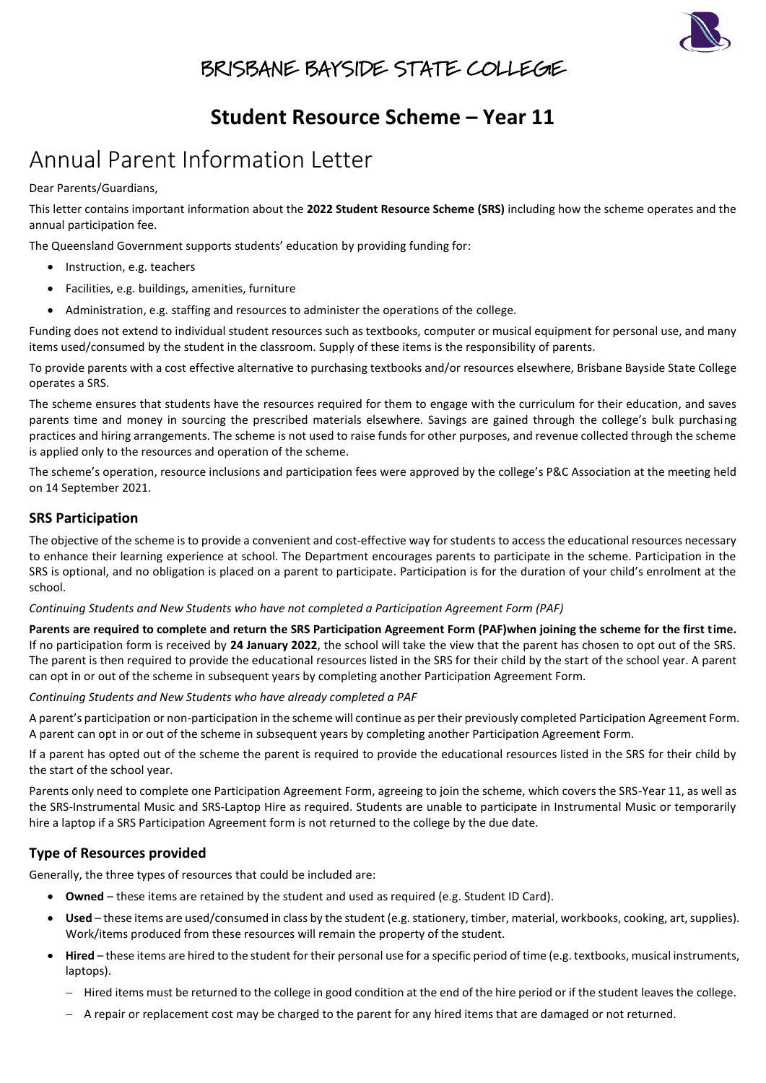

### BRISBANE BAYSIDE STATE COLLEGE

### **Student Resource Scheme – Year 11**

# Annual Parent Information Letter

Dear Parents/Guardians,

This letter contains important information about the **2022 Student Resource Scheme (SRS)** including how the scheme operates and the annual participation fee.

The Queensland Government supports students' education by providing funding for:

- Instruction, e.g. teachers
- Facilities, e.g. buildings, amenities, furniture
- Administration, e.g. staffing and resources to administer the operations of the college.

Funding does not extend to individual student resources such as textbooks, computer or musical equipment for personal use, and many items used/consumed by the student in the classroom. Supply of these items is the responsibility of parents.

To provide parents with a cost effective alternative to purchasing textbooks and/or resources elsewhere, Brisbane Bayside State College operates a SRS.

The scheme ensures that students have the resources required for them to engage with the curriculum for their education, and saves parents time and money in sourcing the prescribed materials elsewhere. Savings are gained through the college's bulk purchasing practices and hiring arrangements. The scheme is not used to raise funds for other purposes, and revenue collected through the scheme is applied only to the resources and operation of the scheme.

The scheme's operation, resource inclusions and participation fees were approved by the college's P&C Association at the meeting held on 14 September 2021.

### **SRS Participation**

The objective of the scheme is to provide a convenient and cost-effective way for students to access the educational resources necessary to enhance their learning experience at school. The Department encourages parents to participate in the scheme. Participation in the SRS is optional, and no obligation is placed on a parent to participate. Participation is for the duration of your child's enrolment at the school.

*Continuing Students and New Students who have not completed a Participation Agreement Form (PAF)*

**Parents are required to complete and return the SRS Participation Agreement Form (PAF)when joining the scheme for the first time.** If no participation form is received by **24 January 2022**, the school will take the view that the parent has chosen to opt out of the SRS. The parent is then required to provide the educational resources listed in the SRS for their child by the start of the school year. A parent can opt in or out of the scheme in subsequent years by completing another Participation Agreement Form.

*Continuing Students and New Students who have already completed a PAF*

A parent's participation or non-participation in the scheme will continue as per their previously completed Participation Agreement Form. A parent can opt in or out of the scheme in subsequent years by completing another Participation Agreement Form.

If a parent has opted out of the scheme the parent is required to provide the educational resources listed in the SRS for their child by the start of the school year.

Parents only need to complete one Participation Agreement Form, agreeing to join the scheme, which covers the SRS-Year 11, as well as the SRS-Instrumental Music and SRS-Laptop Hire as required. Students are unable to participate in Instrumental Music or temporarily hire a laptop if a SRS Participation Agreement form is not returned to the college by the due date.

### **Type of Resources provided**

Generally, the three types of resources that could be included are:

- **Owned** these items are retained by the student and used as required (e.g. Student ID Card).
- **Used**  these items are used/consumed in class by the student (e.g. stationery, timber, material, workbooks, cooking, art, supplies). Work/items produced from these resources will remain the property of the student.
- **Hired**  these items are hired to the student for their personal use for a specific period of time (e.g. textbooks, musical instruments, laptops).
	- − Hired items must be returned to the college in good condition at the end of the hire period or if the student leaves the college.
	- − A repair or replacement cost may be charged to the parent for any hired items that are damaged or not returned.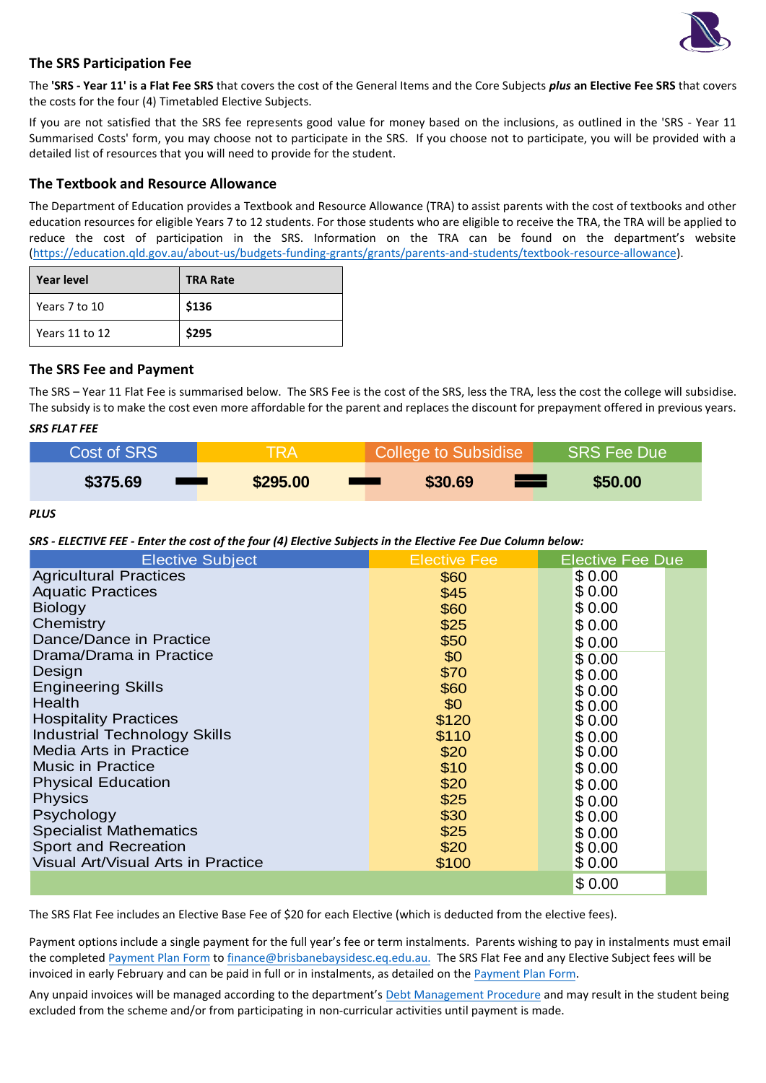

### **The SRS Participation Fee**

The **'SRS - Year 11' is a Flat Fee SRS** that covers the cost of the General Items and the Core Subjects *plus* **an Elective Fee SRS** that covers the costs for the four (4) Timetabled Elective Subjects.

If you are not satisfied that the SRS fee represents good value for money based on the inclusions, as outlined in the 'SRS - Year 11 Summarised Costs' form, you may choose not to participate in the SRS. If you choose not to participate, you will be provided with a detailed list of resources that you will need to provide for the student.

#### **The Textbook and Resource Allowance**

The Department of Education provides a Textbook and Resource Allowance (TRA) to assist parents with the cost of textbooks and other education resources for eligible Years 7 to 12 students. For those students who are eligible to receive the TRA, the TRA will be applied to reduce the cost of participation in the SRS. Information on the TRA can be found on the department's website [\(https://education.qld.gov.au/about-us/budgets-funding-grants/grants/parents-and-students/textbook-resource-allowance\)](https://education.qld.gov.au/about-us/budgets-funding-grants/grants/parents-and-students/textbook-resource-allowance).

| <b>Year level</b> | <b>TRA Rate</b> |
|-------------------|-----------------|
| Years 7 to 10     | \$136           |
| Years 11 to 12    | \$295           |

### **The SRS Fee and Payment**

The SRS – Year 11 Flat Fee is summarised below. The SRS Fee is the cost of the SRS, less the TRA, less the cost the college will subsidise. The subsidy is to make the cost even more affordable for the parent and replaces the discount for prepayment offered in previous years.

#### *SRS FLAT FEE*

| Cost of SRS | <b>TRA</b> | <b>College to Subsidise</b>                        | SRS Fee Due |
|-------------|------------|----------------------------------------------------|-------------|
| \$375.69    | \$295.00   | \$30.69<br><u>ran</u><br><b>The Common Service</b> | \$50.00     |

*PLUS*

*SRS - ELECTIVE FEE - Enter the cost of the four (4) Elective Subjects in the Elective Fee Due Column below:*

| <b>Elective Subject</b>                   | <b>Elective Fee</b> | <b>Elective Fee Due</b> |
|-------------------------------------------|---------------------|-------------------------|
| <b>Agricultural Practices</b>             | \$60                | \$0.00                  |
| <b>Aquatic Practices</b>                  | \$45                | \$0.00                  |
| <b>Biology</b>                            | \$60                | \$0.00                  |
| Chemistry                                 | \$25                | \$0.00                  |
| Dance/Dance in Practice                   | \$50                | \$0.00                  |
| Drama/Drama in Practice                   | \$0                 | \$0.00                  |
| Design                                    | \$70                | \$0.00                  |
| <b>Engineering Skills</b>                 | \$60                | \$0.00                  |
| <b>Health</b>                             | \$0                 | \$0.00                  |
| <b>Hospitality Practices</b>              | \$120               | \$0.00                  |
| <b>Industrial Technology Skills</b>       | \$110               | \$0.00                  |
| <b>Media Arts in Practice</b>             | \$20                | \$0.00                  |
| <b>Music in Practice</b>                  | \$10                | \$0.00                  |
| <b>Physical Education</b>                 | \$20                | \$0.00                  |
| <b>Physics</b>                            | \$25                | \$0.00                  |
| Psychology                                | \$30                | \$0.00                  |
| <b>Specialist Mathematics</b>             | \$25                | \$0.00                  |
| Sport and Recreation                      | \$20                | \$0.00                  |
| <b>Visual Art/Visual Arts in Practice</b> | \$100               | \$0.00                  |
|                                           |                     | \$0.00                  |

The SRS Flat Fee includes an Elective Base Fee of \$20 for each Elective (which is deducted from the elective fees).

Payment options include a single payment for the full year's fee or term instalments. Parents wishing to pay in instalments must email the completed [Payment Plan Form](https://brisbanebaysidesc.eq.edu.au/supportandresources/formsanddocuments/documents/payments/payment-plan.pdf) t[o finance@brisbanebaysidesc.eq.edu.au.](mailto:finance@brisbanebaysidesc.eq.edu.au) The SRS Flat Fee and any Elective Subject fees will be invoiced in early February and can be paid in full or in instalments, as detailed on the [Payment Plan Form.](https://brisbanebaysidesc.eq.edu.au/supportandresources/formsanddocuments/documents/payments/payment-plan.pdf)

Any unpaid invoices will be managed according to the department's [Debt Management Procedure](https://ppr.qed.qld.gov.au/pp/debt-management-procedure) and may result in the student being excluded from the scheme and/or from participating in non-curricular activities until payment is made.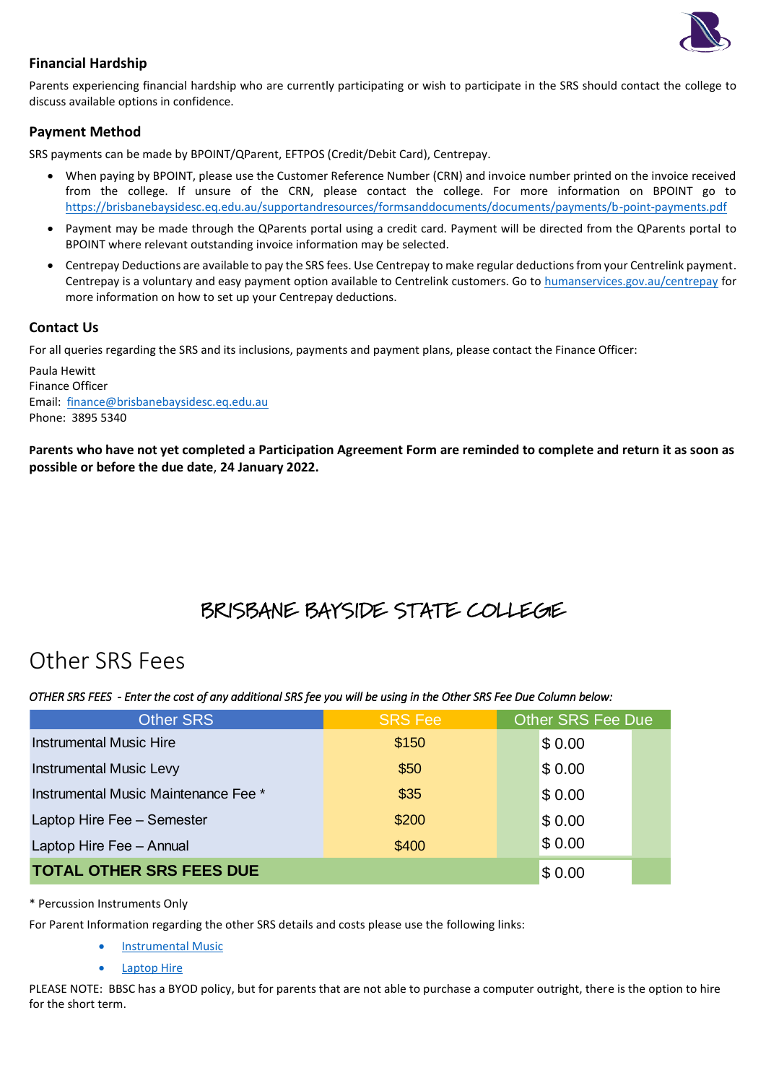

### **Financial Hardship**

Parents experiencing financial hardship who are currently participating or wish to participate in the SRS should contact the college to discuss available options in confidence.

### **Payment Method**

SRS payments can be made by BPOINT/QParent, EFTPOS (Credit/Debit Card), Centrepay.

- When paying by BPOINT, please use the Customer Reference Number (CRN) and invoice number printed on the invoice received from the college. If unsure of the CRN, please contact the college. For more information on BPOINT go to <https://brisbanebaysidesc.eq.edu.au/supportandresources/formsanddocuments/documents/payments/b-point-payments.pdf>
- Payment may be made through the QParents portal using a credit card. Payment will be directed from the QParents portal to BPOINT where relevant outstanding invoice information may be selected.
- Centrepay Deductions are available to pay the SRS fees. Use Centrepay to make regular deductions from your Centrelink payment. Centrepay is a voluntary and easy payment option available to Centrelink customers. Go to [humanservices.gov.au/centrepay](https://www.humanservices.gov.au/individuals/services/centrelink/centrepay) for more information on how to set up your Centrepay deductions.

### **Contact Us**

For all queries regarding the SRS and its inclusions, payments and payment plans, please contact the Finance Officer:

Paula Hewitt Finance Officer Email: [finance@brisbanebaysidesc.eq.edu.au](mailto:finance@brisbanebaysidesc.eq.edu.au?subject=SRS%20-%20Payment/Payment%20Plan%20Query) Phone: 3895 5340

**Parents who have not yet completed a Participation Agreement Form are reminded to complete and return it as soon as possible or before the due date**, **24 January 2022.**

## BRISBANE BAYSIDE STATE COLLEGE

## Other SRS Fees

*OTHER SRS FEES - Enter the cost of any additional SRS fee you will be using in the Other SRS Fee Due Column below:*

| <b>Other SRS</b>                     | <b>SRS Fee</b> | <b>Other SRS Fee Due</b> |  |  |
|--------------------------------------|----------------|--------------------------|--|--|
| <b>Instrumental Music Hire</b>       | \$150          | \$0.00                   |  |  |
| <b>Instrumental Music Levy</b>       | \$50           | \$0.00                   |  |  |
| Instrumental Music Maintenance Fee * | \$35           | \$0.00                   |  |  |
| Laptop Hire Fee - Semester           | \$200          | \$0.00                   |  |  |
| Laptop Hire Fee - Annual             | \$400          | \$0.00                   |  |  |
| <b>TOTAL OTHER SRS FEES DUE</b>      | \$0.00         |                          |  |  |

#### \* Percussion Instruments Only

For Parent Information regarding the other SRS details and costs please use the following links:

- [Instrumental Music](https://brisbanebaysidesc.eq.edu.au/SupportAndResources/FormsAndDocuments/Documents/Student-resource-scheme/instrumental-music-scheme-parent-information-letter.pdf)
- **[Laptop Hire](https://brisbanebaysidesc.eq.edu.au/SupportAndResources/FormsAndDocuments/Documents/Student-resource-scheme/laptop-hire-scheme-parent-information-letter.pdf)**

PLEASE NOTE: BBSC has a BYOD policy, but for parents that are not able to purchase a computer outright, there is the option to hire for the short term.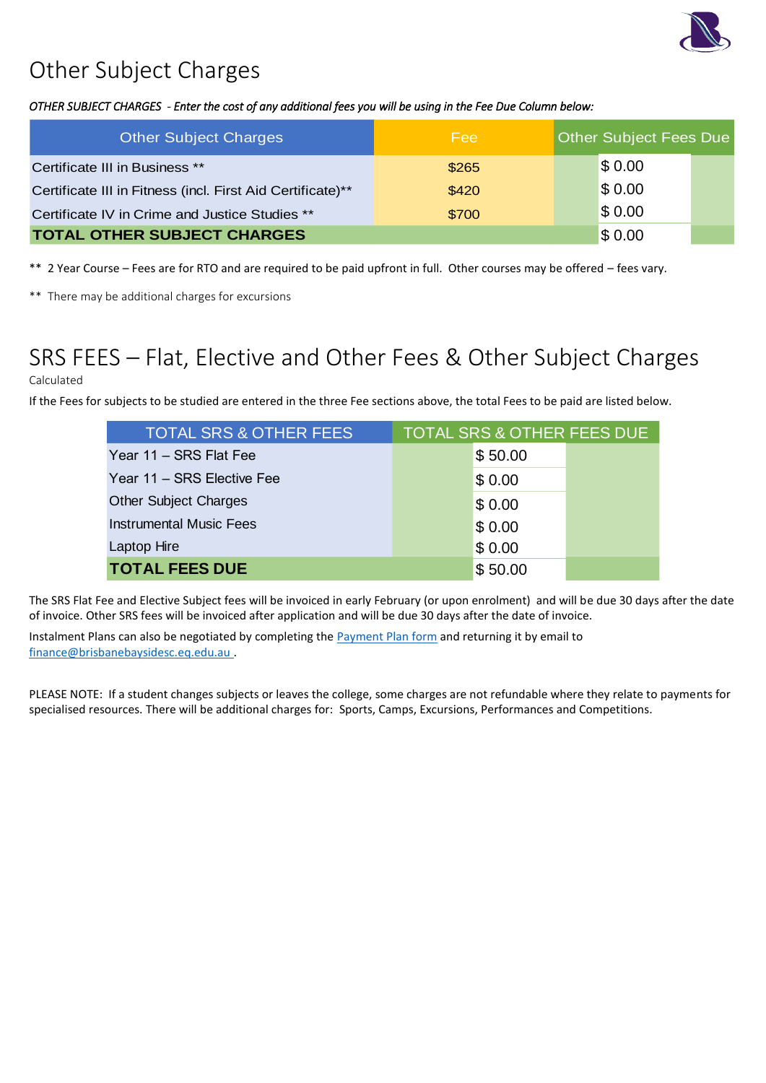

# Other Subject Charges

### *OTHER SUBJECT CHARGES - Enter the cost of any additional fees you will be using in the Fee Due Column below:*

| <b>Other Subject Charges</b>                               | Fee    | <b>Other Subject Fees Due</b> |  |
|------------------------------------------------------------|--------|-------------------------------|--|
| Certificate III in Business **                             | \$265  | \$0.00                        |  |
| Certificate III in Fitness (incl. First Aid Certificate)** | \$420  | \$0.00                        |  |
| Certificate IV in Crime and Justice Studies **             | \$700  | \$0.00                        |  |
| <b>TOTAL OTHER SUBJECT CHARGES</b>                         | \$0.00 |                               |  |

\*\* 2 Year Course – Fees are for RTO and are required to be paid upfront in full. Other courses may be offered – fees vary.

\*\* There may be additional charges for excursions

# SRS FEES – Flat, Elective and Other Fees & Other Subject Charges

### Calculated

If the Fees for subjects to be studied are entered in the three Fee sections above, the total Fees to be paid are listed below.

| <b>TOTAL SRS &amp; OTHER FEES</b> | <b>TOTAL SRS &amp; OTHER FEES DUE</b> |         |  |
|-----------------------------------|---------------------------------------|---------|--|
| Year 11 – SRS Flat Fee            |                                       | \$50.00 |  |
| Year 11 - SRS Elective Fee        |                                       | \$0.00  |  |
| <b>Other Subject Charges</b>      |                                       | \$0.00  |  |
| <b>Instrumental Music Fees</b>    |                                       | \$0.00  |  |
| Laptop Hire                       |                                       | \$0.00  |  |
| <b>TOTAL FEES DUE</b>             |                                       | \$50.00 |  |

The SRS Flat Fee and Elective Subject fees will be invoiced in early February (or upon enrolment) and will be due 30 days after the date of invoice. Other SRS fees will be invoiced after application and will be due 30 days after the date of invoice.

Instalment Plans can also be negotiated by completing the **Payment Plan form** and returning it by email to [finance@brisbanebaysidesc.eq.edu.au](mailto:finance@brisbanebaysidesc.eq.edu.au?subject=SRS%20-%20Payment/Payment%20Plan%20Query) .

PLEASE NOTE: If a student changes subjects or leaves the college, some charges are not refundable where they relate to payments for specialised resources. There will be additional charges for: Sports, Camps, Excursions, Performances and Competitions.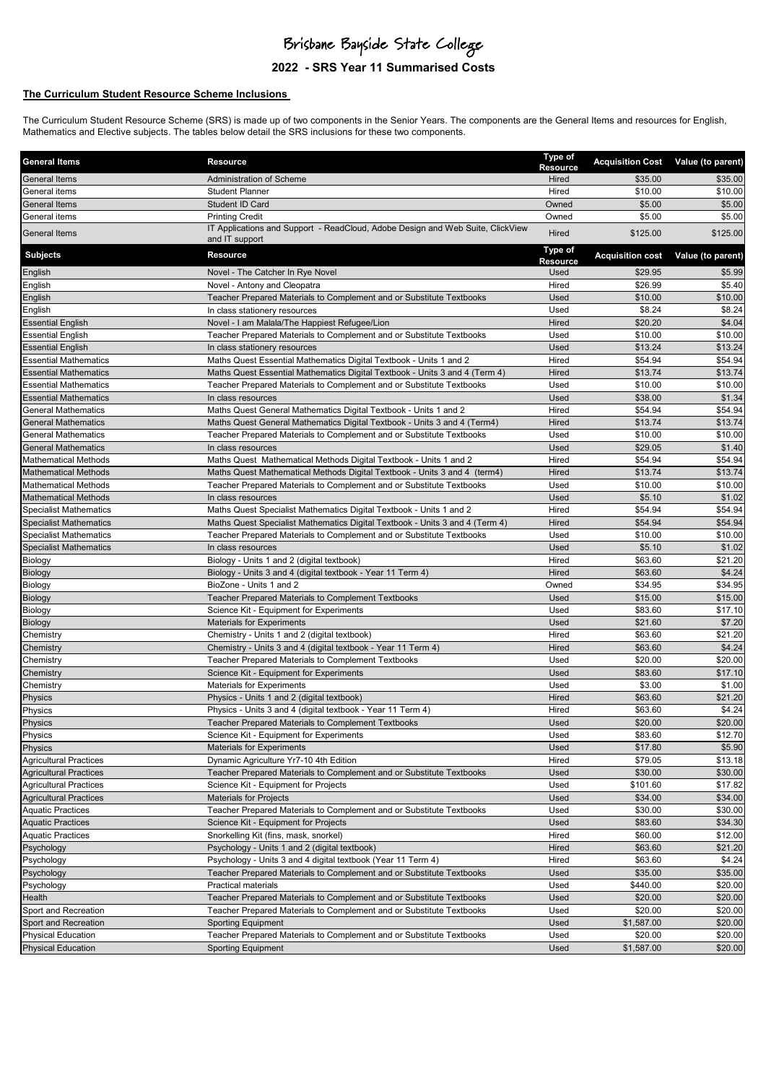### Brisbane Bayside State College

### **2022 - SRS Year 11 Summarised Costs**

#### **The Curriculum Student Resource Scheme Inclusions**

The Curriculum Student Resource Scheme (SRS) is made up of two components in the Senior Years. The components are the General Items and resources for English, Mathematics and Elective subjects. The tables below detail the SRS inclusions for these two components.

| <b>General Items</b>          | Resource                                                                                                      | <b>Type of</b><br>Resource |                         | Acquisition Cost Value (to parent) |
|-------------------------------|---------------------------------------------------------------------------------------------------------------|----------------------------|-------------------------|------------------------------------|
| <b>General Items</b>          | Administration of Scheme                                                                                      | Hired                      | \$35.00                 | \$35.00                            |
| General items                 | <b>Student Planner</b>                                                                                        | Hired                      | \$10.00                 | \$10.00                            |
| <b>General Items</b>          | Student ID Card                                                                                               | Owned                      | \$5.00                  | \$5.00                             |
| General items                 | <b>Printing Credit</b>                                                                                        | Owned                      | \$5.00                  | \$5.00                             |
| General Items                 | IT Applications and Support - ReadCloud, Adobe Design and Web Suite, ClickView<br>and IT support              | Hired                      | \$125.00                | \$125.00                           |
| <b>Subjects</b>               | <b>Resource</b>                                                                                               | Type of<br><b>Resource</b> | <b>Acquisition cost</b> | Value (to parent)                  |
| English                       | Novel - The Catcher In Rye Novel                                                                              | Used                       | \$29.95                 | \$5.99                             |
| English                       | Novel - Antony and Cleopatra                                                                                  | Hired                      | \$26.99                 | \$5.40                             |
| English                       | Teacher Prepared Materials to Complement and or Substitute Textbooks                                          | Used                       | \$10.00                 | \$10.00                            |
| English                       | In class stationery resources                                                                                 | Used                       | \$8.24                  | \$8.24                             |
| <b>Essential English</b>      | Novel - I am Malala/The Happiest Refugee/Lion                                                                 | Hired                      | \$20.20                 | \$4.04                             |
| <b>Essential English</b>      | Teacher Prepared Materials to Complement and or Substitute Textbooks                                          | Used                       | \$10.00                 | \$10.00                            |
| <b>Essential English</b>      | In class stationery resources                                                                                 | Used                       | \$13.24                 | \$13.24                            |
| <b>Essential Mathematics</b>  | Maths Quest Essential Mathematics Digital Textbook - Units 1 and 2                                            | Hired                      | \$54.94                 | \$54.94                            |
| <b>Essential Mathematics</b>  | Maths Quest Essential Mathematics Digital Textbook - Units 3 and 4 (Term 4)                                   | Hired                      | \$13.74                 | \$13.74                            |
| <b>Essential Mathematics</b>  | Teacher Prepared Materials to Complement and or Substitute Textbooks                                          | Used                       | \$10.00                 | \$10.00                            |
| <b>Essential Mathematics</b>  | In class resources                                                                                            | Used                       | \$38.00                 | \$1.34                             |
| <b>General Mathematics</b>    | Maths Quest General Mathematics Digital Textbook - Units 1 and 2                                              | Hired                      | \$54.94                 | \$54.94                            |
| <b>General Mathematics</b>    | Maths Quest General Mathematics Digital Textbook - Units 3 and 4 (Term4)                                      | Hired                      | \$13.74                 | \$13.74                            |
| <b>General Mathematics</b>    | Teacher Prepared Materials to Complement and or Substitute Textbooks                                          | Used                       | \$10.00                 | \$10.00                            |
| <b>General Mathematics</b>    | In class resources                                                                                            | Used                       | \$29.05                 | \$1.40                             |
| <b>Mathematical Methods</b>   | Maths Quest Mathematical Methods Digital Textbook - Units 1 and 2                                             | Hired                      | \$54.94                 | \$54.94                            |
| <b>Mathematical Methods</b>   | Maths Quest Mathematical Methods Digital Textbook - Units 3 and 4 (term4)                                     | Hired                      | \$13.74                 | \$13.74                            |
| <b>Mathematical Methods</b>   | Teacher Prepared Materials to Complement and or Substitute Textbooks                                          | Used                       | \$10.00                 | \$10.00                            |
| <b>Mathematical Methods</b>   | In class resources                                                                                            | Used                       | \$5.10                  | \$1.02                             |
| <b>Specialist Mathematics</b> | Maths Quest Specialist Mathematics Digital Textbook - Units 1 and 2                                           | Hired                      | \$54.94                 | \$54.94                            |
| <b>Specialist Mathematics</b> | Maths Quest Specialist Mathematics Digital Textbook - Units 3 and 4 (Term 4)                                  | Hired                      | \$54.94                 | \$54.94                            |
| <b>Specialist Mathematics</b> | Teacher Prepared Materials to Complement and or Substitute Textbooks                                          | Used                       | \$10.00                 | \$10.00                            |
| <b>Specialist Mathematics</b> | In class resources                                                                                            | Used                       | \$5.10                  | \$1.02                             |
| Biology                       | Biology - Units 1 and 2 (digital textbook)                                                                    | Hired                      | \$63.60                 | \$21.20                            |
| Biology                       | Biology - Units 3 and 4 (digital textbook - Year 11 Term 4)                                                   | Hired                      | \$63.60                 | \$4.24                             |
| Biology                       | BioZone - Units 1 and 2                                                                                       | Owned                      | \$34.95                 | \$34.95                            |
| Biology                       | Teacher Prepared Materials to Complement Textbooks                                                            | Used                       | \$15.00                 | \$15.00                            |
| Biology                       | Science Kit - Equipment for Experiments                                                                       | Used                       | \$83.60                 | \$17.10                            |
| Biology                       | <b>Materials for Experiments</b>                                                                              | Used                       | \$21.60                 | \$7.20                             |
| Chemistry<br>Chemistry        | Chemistry - Units 1 and 2 (digital textbook)<br>Chemistry - Units 3 and 4 (digital textbook - Year 11 Term 4) | Hired<br>Hired             | \$63.60<br>\$63.60      | \$21.20<br>\$4.24                  |
| Chemistry                     | Teacher Prepared Materials to Complement Textbooks                                                            | Used                       | \$20.00                 | \$20.00                            |
| Chemistry                     | Science Kit - Equipment for Experiments                                                                       | Used                       | \$83.60                 | \$17.10                            |
| Chemistry                     | <b>Materials for Experiments</b>                                                                              | Used                       | \$3.00                  | \$1.00                             |
| Physics                       | Physics - Units 1 and 2 (digital textbook)                                                                    | Hired                      | \$63.60                 | \$21.20                            |
| Physics                       | Physics - Units 3 and 4 (digital textbook - Year 11 Term 4)                                                   | Hired                      | \$63.60                 | \$4.24                             |
| Physics                       | Teacher Prepared Materials to Complement Textbooks                                                            | Used                       | \$20.00                 | \$20.00                            |
| Physics                       | Science Kit - Equipment for Experiments                                                                       | Used                       | \$83.60                 | \$12.70                            |
| Physics                       | <b>Materials for Experiments</b>                                                                              | Used                       | \$17.80                 | \$5.90                             |
| <b>Agricultural Practices</b> | Dynamic Agriculture Yr7-10 4th Edition                                                                        | Hired                      | \$79.05                 | \$13.18                            |
| <b>Agricultural Practices</b> | Teacher Prepared Materials to Complement and or Substitute Textbooks                                          | Used                       | \$30.00                 | \$30.00                            |
| <b>Agricultural Practices</b> | Science Kit - Equipment for Projects                                                                          | Used                       | \$101.60                | \$17.82                            |
| <b>Agricultural Practices</b> | <b>Materials for Projects</b>                                                                                 | Used                       | \$34.00                 | \$34.00                            |
| <b>Aquatic Practices</b>      | Teacher Prepared Materials to Complement and or Substitute Textbooks                                          | Used                       | \$30.00                 | \$30.00                            |
| <b>Aquatic Practices</b>      | Science Kit - Equipment for Projects                                                                          | Used                       | \$83.60                 | \$34.30                            |
| <b>Aquatic Practices</b>      | Snorkelling Kit (fins, mask, snorkel)                                                                         | Hired                      | \$60.00                 | \$12.00                            |
| Psychology                    | Psychology - Units 1 and 2 (digital textbook)                                                                 | Hired                      | \$63.60                 | \$21.20                            |
| Psychology                    | Psychology - Units 3 and 4 digital textbook (Year 11 Term 4)                                                  | Hired                      | \$63.60                 | \$4.24                             |
| Psychology                    | Teacher Prepared Materials to Complement and or Substitute Textbooks                                          | Used                       | \$35.00                 | \$35.00                            |
| Psychology                    | <b>Practical materials</b>                                                                                    | Used                       | \$440.00                | \$20.00                            |
| Health                        | Teacher Prepared Materials to Complement and or Substitute Textbooks                                          | Used                       | \$20.00                 | \$20.00                            |
| Sport and Recreation          | Teacher Prepared Materials to Complement and or Substitute Textbooks                                          | Used                       | \$20.00                 | \$20.00                            |
| Sport and Recreation          | <b>Sporting Equipment</b>                                                                                     | Used                       | \$1,587.00              | \$20.00                            |
| <b>Physical Education</b>     | Teacher Prepared Materials to Complement and or Substitute Textbooks                                          | Used                       | \$20.00                 | \$20.00                            |
| <b>Physical Education</b>     | <b>Sporting Equipment</b>                                                                                     | Used                       | \$1,587.00              | \$20.00                            |
|                               |                                                                                                               |                            |                         |                                    |